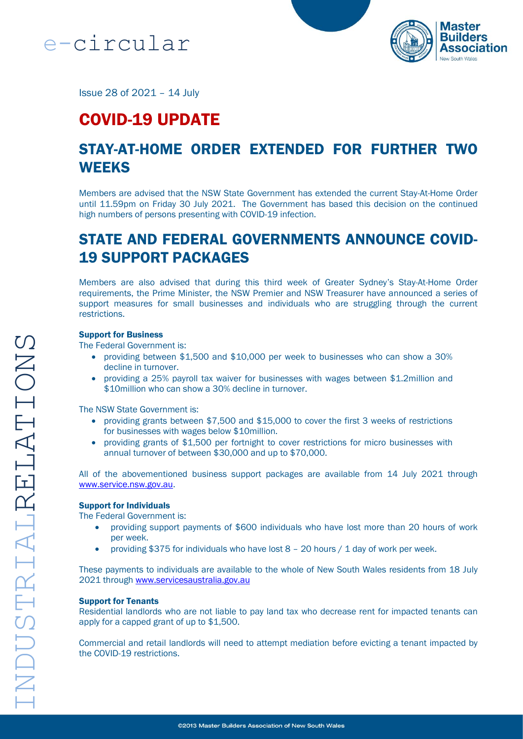



Issue 28 of 2021 – 14 July

# COVID-19 UPDATE

## STAY-AT-HOME ORDER EXTENDED FOR FURTHER TWO **WEEKS**

Members are advised that the NSW State Government has extended the current Stay-At-Home Order until 11.59pm on Friday 30 July 2021. The Government has based this decision on the continued high numbers of persons presenting with COVID-19 infection.

## STATE AND FEDERAL GOVERNMENTS ANNOUNCE COVID-19 SUPPORT PACKAGES

Members are also advised that during this third week of Greater Sydney's Stay-At-Home Order requirements, the Prime Minister, the NSW Premier and NSW Treasurer have announced a series of support measures for small businesses and individuals who are struggling through the current restrictions.

#### Support for Business

The Federal Government is:

- providing between \$1,500 and \$10,000 per week to businesses who can show a 30% decline in turnover.
- providing a 25% payroll tax waiver for businesses with wages between \$1.2million and \$10 million who can show a 30% decline in turnover.

The NSW State Government is:

- providing grants between \$7,500 and \$15,000 to cover the first 3 weeks of restrictions for businesses with wages below \$10million.
- providing grants of \$1,500 per fortnight to cover restrictions for micro businesses with annual turnover of between \$30,000 and up to \$70,000.

All of the abovementioned business support packages are available from 14 July 2021 through [www.service.nsw.gov.au.](http://www.service.nsw.gov.au/)

#### Support for Individuals

The Federal Government is:

- providing support payments of \$600 individuals who have lost more than 20 hours of work per week.
- providing \$375 for individuals who have lost  $8 20$  hours  $/ 1$  day of work per week.

These payments to individuals are available to the whole of New South Wales residents from 18 July 2021 through [www.servicesaustralia.gov.au](http://www.servicesaustralia.gov.au/)

#### Support for Tenants

Residential landlords who are not liable to pay land tax who decrease rent for impacted tenants can apply for a capped grant of up to \$1,500.

Commercial and retail landlords will need to attempt mediation before evicting a tenant impacted by the COVID-19 restrictions.